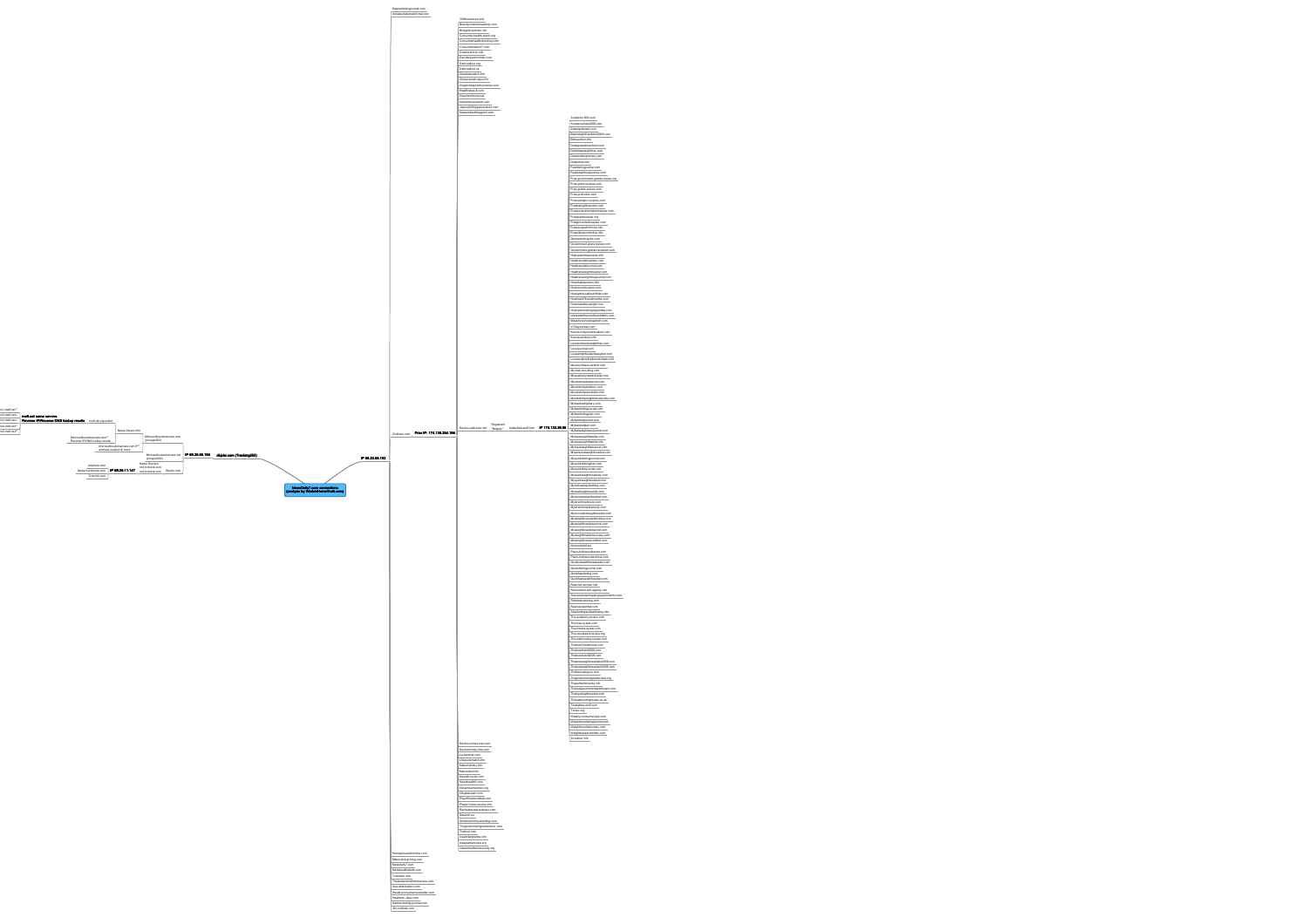